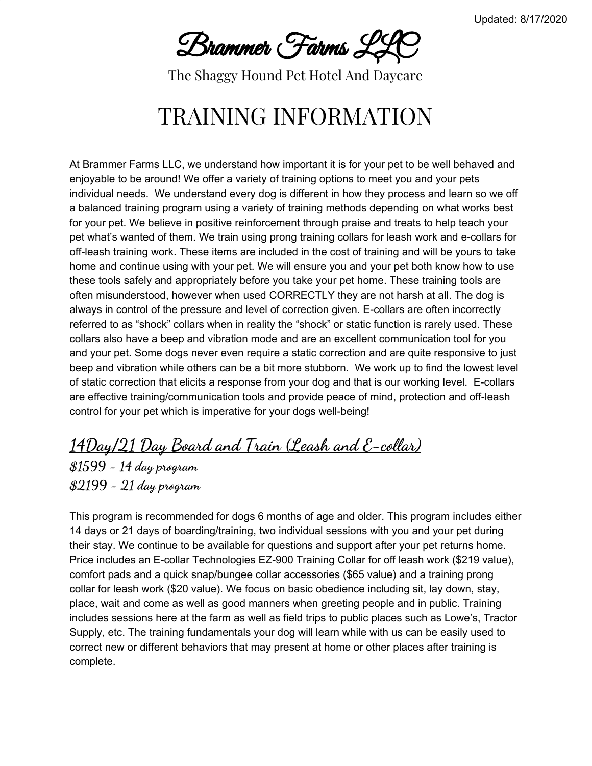Brammer Farms LL

The Shaggy Hound Pet Hotel And Daycare

## TRAINING INFORMATION

At Brammer Farms LLC, we understand how important it is for your pet to be well behaved and enjoyable to be around! We offer a variety of training options to meet you and your pets individual needs. We understand every dog is different in how they process and learn so we off a balanced training program using a variety of training methods depending on what works best for your pet. We believe in positive reinforcement through praise and treats to help teach your pet what's wanted of them. We train using prong training collars for leash work and e-collars for off-leash training work. These items are included in the cost of training and will be yours to take home and continue using with your pet. We will ensure you and your pet both know how to use these tools safely and appropriately before you take your pet home. These training tools are often misunderstood, however when used CORRECTLY they are not harsh at all. The dog is always in control of the pressure and level of correction given. E-collars are often incorrectly referred to as "shock" collars when in reality the "shock" or static function is rarely used. These collars also have a beep and vibration mode and are an excellent communication tool for you and your pet. Some dogs never even require a static correction and are quite responsive to just beep and vibration while others can be a bit more stubborn. We work up to find the lowest level of static correction that elicits a response from your dog and that is our working level. E-collars are effective training/communication tools and provide peace of mind, protection and off-leash control for your pet which is imperative for your dogs well-being!

## **14Day/21 Day Board and Train (Leash and E-collar)**

**\$1599 - 14 day program \$2199 - 21 day program**

This program is recommended for dogs 6 months of age and older. This program includes either 14 days or 21 days of boarding/training, two individual sessions with you and your pet during their stay. We continue to be available for questions and support after your pet returns home. Price includes an E-collar Technologies EZ-900 Training Collar for off leash work (\$219 value), comfort pads and a quick snap/bungee collar accessories (\$65 value) and a training prong collar for leash work (\$20 value). We focus on basic obedience including sit, lay down, stay, place, wait and come as well as good manners when greeting people and in public. Training includes sessions here at the farm as well as field trips to public places such as Lowe's, Tractor Supply, etc. The training fundamentals your dog will learn while with us can be easily used to correct new or different behaviors that may present at home or other places after training is complete.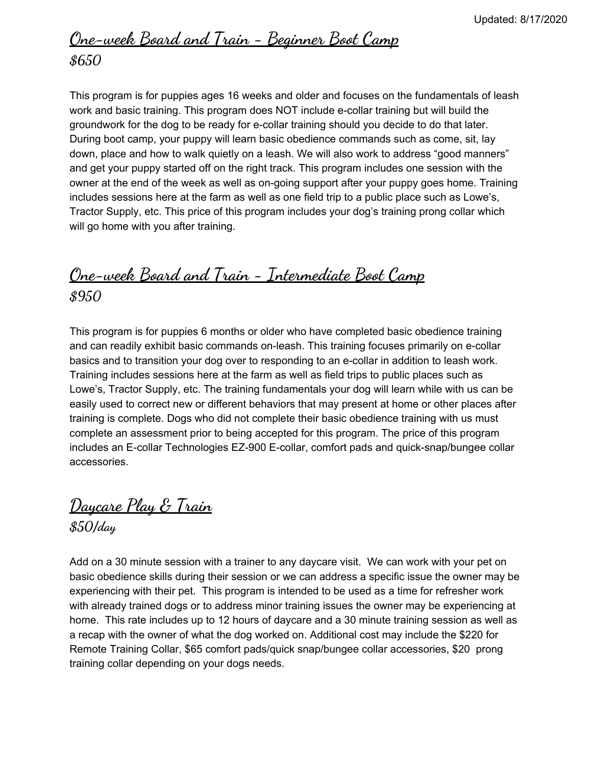## **One-week Board and Train - Beginner Boot Camp \$650**

This program is for puppies ages 16 weeks and older and focuses on the fundamentals of leash work and basic training. This program does NOT include e-collar training but will build the groundwork for the dog to be ready for e-collar training should you decide to do that later. During boot camp, your puppy will learn basic obedience commands such as come, sit, lay down, place and how to walk quietly on a leash. We will also work to address "good manners" and get your puppy started off on the right track. This program includes one session with the owner at the end of the week as well as on-going support after your puppy goes home. Training includes sessions here at the farm as well as one field trip to a public place such as Lowe's, Tractor Supply, etc. This price of this program includes your dog's training prong collar which will go home with you after training.

## **One-week Board and Train - Intermediate Boot Camp \$950**

This program is for puppies 6 months or older who have completed basic obedience training and can readily exhibit basic commands on-leash. This training focuses primarily on e-collar basics and to transition your dog over to responding to an e-collar in addition to leash work. Training includes sessions here at the farm as well as field trips to public places such as Lowe's, Tractor Supply, etc. The training fundamentals your dog will learn while with us can be easily used to correct new or different behaviors that may present at home or other places after training is complete. Dogs who did not complete their basic obedience training with us must complete an assessment prior to being accepted for this program. The price of this program includes an E-collar Technologies EZ-900 E-collar, comfort pads and quick-snap/bungee collar accessories.

**Daycare Play & Train \$50/day**

Add on a 30 minute session with a trainer to any daycare visit. We can work with your pet on basic obedience skills during their session or we can address a specific issue the owner may be experiencing with their pet. This program is intended to be used as a time for refresher work with already trained dogs or to address minor training issues the owner may be experiencing at home. This rate includes up to 12 hours of daycare and a 30 minute training session as well as a recap with the owner of what the dog worked on. Additional cost may include the \$220 for Remote Training Collar, \$65 comfort pads/quick snap/bungee collar accessories, \$20 prong training collar depending on your dogs needs.